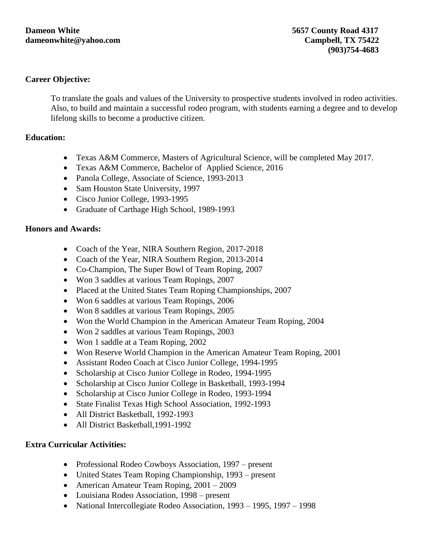#### **Career Objective:**

To translate the goals and values of the University to prospective students involved in rodeo activities. Also, to build and maintain a successful rodeo program, with students earning a degree and to develop lifelong skills to become a productive citizen.

### **Education:**

- Texas A&M Commerce, Masters of Agricultural Science, will be completed May 2017.
- Texas A&M Commerce, Bachelor of Applied Science, 2016
- Panola College, Associate of Science, 1993-2013
- Sam Houston State University, 1997
- Cisco Junior College, 1993-1995
- Graduate of Carthage High School, 1989-1993

#### **Honors and Awards:**

- Coach of the Year, NIRA Southern Region, 2017-2018
- Coach of the Year, NIRA Southern Region, 2013-2014
- Co-Champion, The Super Bowl of Team Roping, 2007
- Won 3 saddles at various Team Ropings, 2007
- Placed at the United States Team Roping Championships, 2007
- Won 6 saddles at various Team Ropings, 2006
- Won 8 saddles at various Team Ropings, 2005
- Won the World Champion in the American Amateur Team Roping, 2004
- Won 2 saddles at various Team Ropings, 2003
- Won 1 saddle at a Team Roping, 2002
- Won Reserve World Champion in the American Amateur Team Roping, 2001
- Assistant Rodeo Coach at Cisco Junior College, 1994-1995
- Scholarship at Cisco Junior College in Rodeo, 1994-1995
- Scholarship at Cisco Junior College in Basketball, 1993-1994
- Scholarship at Cisco Junior College in Rodeo, 1993-1994
- State Finalist Texas High School Association, 1992-1993
- All District Basketball, 1992-1993
- All District Basketball, 1991-1992

#### **Extra Curricular Activities:**

- Professional Rodeo Cowboys Association, 1997 present
- United States Team Roping Championship, 1993 present
- American Amateur Team Roping,  $2001 2009$
- Louisiana Rodeo Association, 1998 present
- National Intercollegiate Rodeo Association, 1993 1995, 1997 1998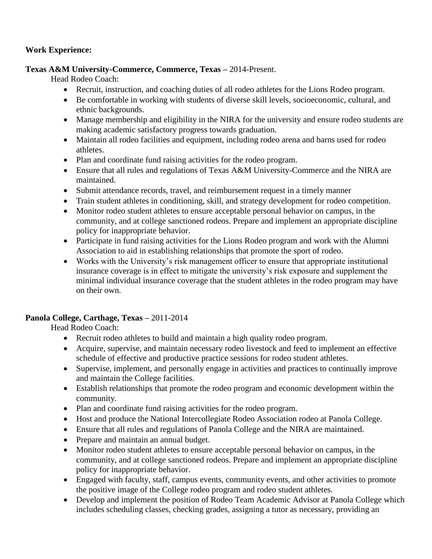## **Work Experience:**

## **Texas A&M University-Commerce, Commerce, Texas –** 2014-Present.

Head Rodeo Coach:

- Recruit, instruction, and coaching duties of all rodeo athletes for the Lions Rodeo program.
- Be comfortable in working with students of diverse skill levels, socioeconomic, cultural, and ethnic backgrounds.
- Manage membership and eligibility in the NIRA for the university and ensure rodeo students are making academic satisfactory progress towards graduation.
- Maintain all rodeo facilities and equipment, including rodeo arena and barns used for rodeo athletes.
- Plan and coordinate fund raising activities for the rodeo program.
- Ensure that all rules and regulations of Texas A&M University-Commerce and the NIRA are maintained.
- Submit attendance records, travel, and reimbursement request in a timely manner
- Train student athletes in conditioning, skill, and strategy development for rodeo competition.
- Monitor rodeo student athletes to ensure acceptable personal behavior on campus, in the community, and at college sanctioned rodeos. Prepare and implement an appropriate discipline policy for inappropriate behavior.
- Participate in fund raising activities for the Lions Rodeo program and work with the Alumni Association to aid in establishing relationships that promote the sport of rodeo.
- Works with the University's risk management officer to ensure that appropriate institutional insurance coverage is in effect to mitigate the university's risk exposure and supplement the minimal individual insurance coverage that the student athletes in the rodeo program may have on their own.

# **Panola College, Carthage, Texas –** 2011-2014

Head Rodeo Coach:

- Recruit rodeo athletes to build and maintain a high quality rodeo program.
- Acquire, supervise, and maintain necessary rodeo livestock and feed to implement an effective schedule of effective and productive practice sessions for rodeo student athletes.
- Supervise, implement, and personally engage in activities and practices to continually improve and maintain the College facilities.
- Establish relationships that promote the rodeo program and economic development within the community.
- Plan and coordinate fund raising activities for the rodeo program.
- Host and produce the National Intercollegiate Rodeo Association rodeo at Panola College.
- Ensure that all rules and regulations of Panola College and the NIRA are maintained.
- Prepare and maintain an annual budget.
- Monitor rodeo student athletes to ensure acceptable personal behavior on campus, in the community, and at college sanctioned rodeos. Prepare and implement an appropriate discipline policy for inappropriate behavior.
- Engaged with faculty, staff, campus events, community events, and other activities to promote the positive image of the College rodeo program and rodeo student athletes.
- Develop and implement the position of Rodeo Team Academic Advisor at Panola College which includes scheduling classes, checking grades, assigning a tutor as necessary, providing an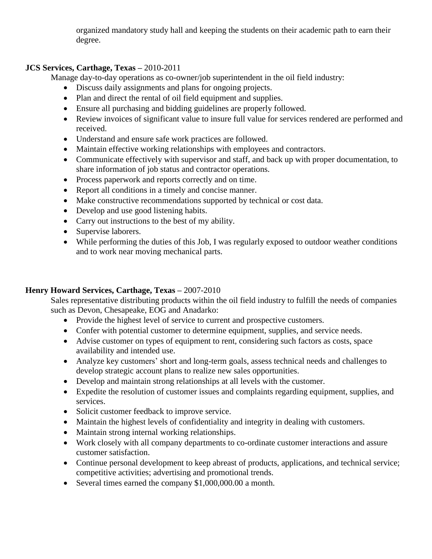organized mandatory study hall and keeping the students on their academic path to earn their degree.

## **JCS Services, Carthage, Texas –** 2010-2011

Manage day-to-day operations as co-owner/job superintendent in the oil field industry:

- Discuss daily assignments and plans for ongoing projects.
- Plan and direct the rental of oil field equipment and supplies.
- Ensure all purchasing and bidding guidelines are properly followed.
- Review invoices of significant value to insure full value for services rendered are performed and received.
- Understand and ensure safe work practices are followed.
- Maintain effective working relationships with employees and contractors.
- Communicate effectively with supervisor and staff, and back up with proper documentation, to share information of job status and contractor operations.
- Process paperwork and reports correctly and on time.
- Report all conditions in a timely and concise manner.
- Make constructive recommendations supported by technical or cost data.
- Develop and use good listening habits.
- Carry out instructions to the best of my ability.
- Supervise laborers.
- While performing the duties of this Job, I was regularly exposed to outdoor weather conditions and to work near moving mechanical parts.

# **Henry Howard Services, Carthage, Texas –** 2007-2010

Sales representative distributing products within the oil field industry to fulfill the needs of companies such as Devon, Chesapeake, EOG and Anadarko:

- Provide the highest level of service to current and prospective customers.
- Confer with potential customer to determine equipment, supplies, and service needs.
- Advise customer on types of equipment to rent, considering such factors as costs, space availability and intended use.
- Analyze key customers' short and long-term goals, assess technical needs and challenges to develop strategic account plans to realize new sales opportunities.
- Develop and maintain strong relationships at all levels with the customer.
- Expedite the resolution of customer issues and complaints regarding equipment, supplies, and services.
- Solicit customer feedback to improve service.
- Maintain the highest levels of confidentiality and integrity in dealing with customers.
- Maintain strong internal working relationships.
- Work closely with all company departments to co-ordinate customer interactions and assure customer satisfaction.
- Continue personal development to keep abreast of products, applications, and technical service; competitive activities; advertising and promotional trends.
- Several times earned the company \$1,000,000.00 a month.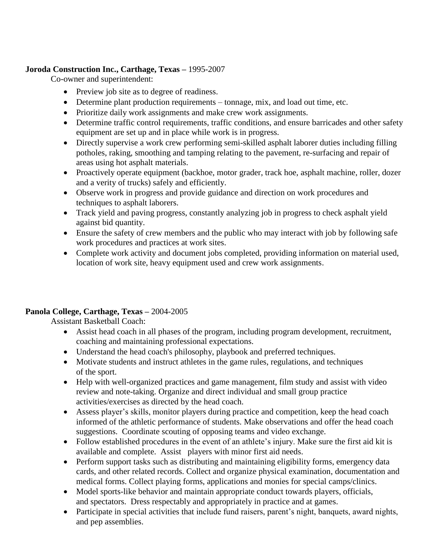## **Joroda Construction Inc., Carthage, Texas –** 1995-2007

Co-owner and superintendent:

- Preview job site as to degree of readiness.
- Determine plant production requirements tonnage, mix, and load out time, etc.
- Prioritize daily work assignments and make crew work assignments.
- Determine traffic control requirements, traffic conditions, and ensure barricades and other safety equipment are set up and in place while work is in progress.
- Directly supervise a work crew performing semi-skilled asphalt laborer duties including filling potholes, raking, smoothing and tamping relating to the pavement, re-surfacing and repair of areas using hot asphalt materials.
- Proactively operate equipment (backhoe, motor grader, track hoe, asphalt machine, roller, dozer and a verity of trucks) safely and efficiently.
- Observe work in progress and provide guidance and direction on work procedures and techniques to asphalt laborers.
- Track yield and paving progress, constantly analyzing job in progress to check asphalt yield against bid quantity.
- Ensure the safety of crew members and the public who may interact with job by following safe work procedures and practices at work sites.
- Complete work activity and document jobs completed, providing information on material used, location of work site, heavy equipment used and crew work assignments.

# **Panola College, Carthage, Texas –** 2004-2005

Assistant Basketball Coach:

- Assist head coach in all phases of the program, including program development, recruitment, coaching and maintaining professional expectations.
- Understand the head coach's philosophy, playbook and preferred techniques.
- Motivate students and instruct athletes in the game rules, regulations, and techniques of the sport.
- Help with well-organized practices and game management, film study and assist with video review and note-taking. Organize and direct individual and small group practice activities/exercises as directed by the head coach.
- Assess player's skills, monitor players during practice and competition, keep the head coach informed of the athletic performance of students. Make observations and offer the head coach suggestions. Coordinate scouting of opposing teams and video exchange.
- Follow established procedures in the event of an athlete's injury. Make sure the first aid kit is available and complete. Assist players with minor first aid needs.
- Perform support tasks such as distributing and maintaining eligibility forms, emergency data cards, and other related records. Collect and organize physical examination, documentation and medical forms. Collect playing forms, applications and monies for special camps/clinics.
- Model sports-like behavior and maintain appropriate conduct towards players, officials, and spectators. Dress respectably and appropriately in practice and at games.
- Participate in special activities that include fund raisers, parent's night, banquets, award nights, and pep assemblies.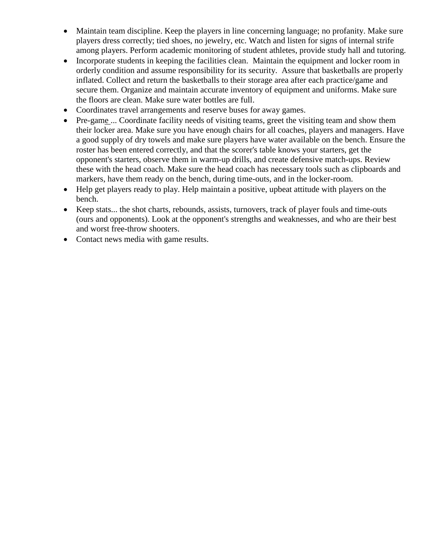- Maintain team discipline. Keep the players in line concerning language; no profanity. Make sure players dress correctly; tied shoes, no jewelry, etc. Watch and listen for signs of internal strife among players. Perform academic monitoring of [student athletes,](http://basketball.lifetips.com/tip/140997/scouting-preparation-program-development/scouting-preparation-program-development/duties-of-an-assistant-coach.html) provide study hall and tutoring.
- Incorporate students in keeping the facilities clean. Maintain the equipment and locker room in orderly condition and assume responsibility for its security. Assure that basketballs are properly inflated. Collect and return the basketballs to their storage area after each practice/game and secure them. Organize and maintain accurate inventory of equipment and uniforms. Make sure the floors are clean. Make sure water bottles are full.
- Coordinates travel arrangements and reserve buses for away games.
- Pre-game ... Coordinate facility needs of visiting teams, greet the visiting team and show them their locker area. Make sure you have enough chairs for all coaches, players and managers. Have a good supply of dry towels and make sure players have water available on the bench. Ensure the roster has been entered correctly, and that the scorer's table knows your starters, get the opponent's starters, observe them in warm-up drills, and create defensive match-ups. Review these with the head coach. Make sure the head coach has necessary tools such as clipboards and markers, have them ready on the bench, during time-outs, and in the locker-room.
- Help get players ready to play. Help maintain a positive, upbeat attitude with players on the bench.
- Keep stats... the shot charts, rebounds, assists, turnovers, track of player fouls and time-outs (ours and opponents). Look at the opponent's strengths and weaknesses, and who are their best and worst free-throw shooters.
- Contact news media with game results.